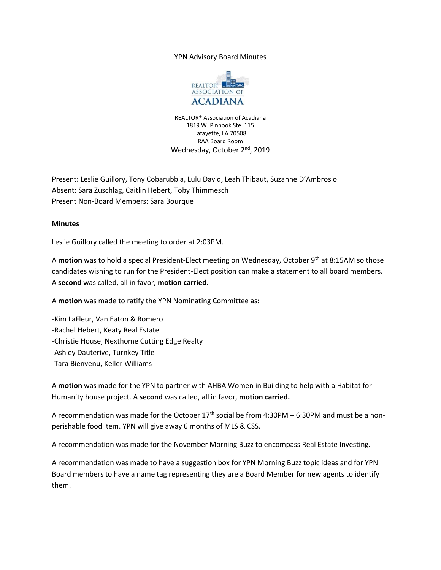## YPN Advisory Board Minutes



REALTOR® Association of Acadiana 1819 W. Pinhook Ste. 115 Lafayette, LA 70508 RAA Board Room Wednesday, October 2<sup>nd</sup>, 2019

Present: Leslie Guillory, Tony Cobarubbia, Lulu David, Leah Thibaut, Suzanne D'Ambrosio Absent: Sara Zuschlag, Caitlin Hebert, Toby Thimmesch Present Non-Board Members: Sara Bourque

## **Minutes**

Leslie Guillory called the meeting to order at 2:03PM.

A **motion** was to hold a special President-Elect meeting on Wednesday, October 9th at 8:15AM so those candidates wishing to run for the President-Elect position can make a statement to all board members. A **second** was called, all in favor, **motion carried.**

A **motion** was made to ratify the YPN Nominating Committee as:

-Kim LaFleur, Van Eaton & Romero -Rachel Hebert, Keaty Real Estate -Christie House, Nexthome Cutting Edge Realty -Ashley Dauterive, Turnkey Title -Tara Bienvenu, Keller Williams

A **motion** was made for the YPN to partner with AHBA Women in Building to help with a Habitat for Humanity house project. A **second** was called, all in favor, **motion carried.**

A recommendation was made for the October  $17<sup>th</sup>$  social be from 4:30PM – 6:30PM and must be a nonperishable food item. YPN will give away 6 months of MLS & CSS.

A recommendation was made for the November Morning Buzz to encompass Real Estate Investing.

A recommendation was made to have a suggestion box for YPN Morning Buzz topic ideas and for YPN Board members to have a name tag representing they are a Board Member for new agents to identify them.